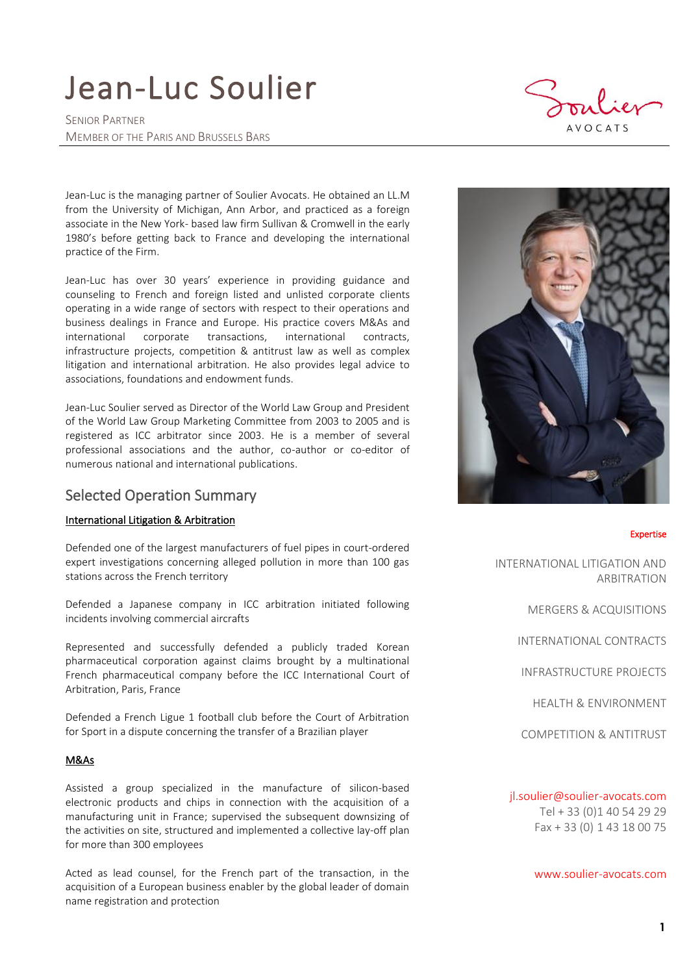# Jean-Luc Soulier

SENIOR PARTNER MEMBER OF THE PARIS AND BRUSSELS BARS

 $AVOCATS$ 

Jean-Luc is the managing partner of Soulier Avocats. He obtained an LL.M from the University of Michigan, Ann Arbor, and practiced as a foreign associate in the New York- based law firm Sullivan & Cromwell in the early 1980's before getting back to France and developing the international practice of the Firm.

Jean-Luc has over 30 years' experience in providing guidance and counseling to French and foreign listed and unlisted corporate clients operating in a wide range of sectors with respect to their operations and business dealings in France and Europe. His practice covers M&As and international corporate transactions, international contracts, infrastructure projects, competition & antitrust law as well as complex litigation and international arbitration. He also provides legal advice to associations, foundations and endowment funds.

Jean-Luc Soulier served as Director of the World Law Group and President of the World Law Group Marketing Committee from 2003 to 2005 and is registered as ICC arbitrator since 2003. He is a member of several professional associations and the author, co-author or co-editor of numerous national and international publications.

## Selected Operation Summary

#### International Litigation & Arbitration

Defended one of the largest manufacturers of fuel pipes in court-ordered expert investigations concerning alleged pollution in more than 100 gas stations across the French territory

Defended a Japanese company in ICC arbitration initiated following incidents involving commercial aircrafts

Represented and successfully defended a publicly traded Korean pharmaceutical corporation against claims brought by a multinational French pharmaceutical company before the ICC International Court of Arbitration, Paris, France

Defended a French Ligue 1 football club before the Court of Arbitration for Sport in a dispute concerning the transfer of a Brazilian player

#### M&As

Assisted a group specialized in the manufacture of silicon-based electronic products and chips in connection with the acquisition of a manufacturing unit in France; supervised the subsequent downsizing of the activities on site, structured and implemented a collective lay-off plan for more than 300 employees

Acted as lead counsel, for the French part of the transaction, in the acquisition of a European business enabler by the global leader of domain name registration and protection



#### Expertise

INTERNATIONAL LITIGATION AND ARBITRATION

MERGERS & ACQUISITIONS

INTERNATIONAL CONTRACTS

INFRASTRUCTURE PROJECTS

HEALTH & ENVIRONMENT

COMPETITION & ANTITRUST

#### [jl.soulier@soulier-avocats.com](mailto:jl.soulier@soulier-avocats.com)

Tel + 33 (0)1 40 54 29 29 Fax + 33 (0) 1 43 18 00 75

[www.soulier-avocats.com](http://www.soulier-avocats.com/)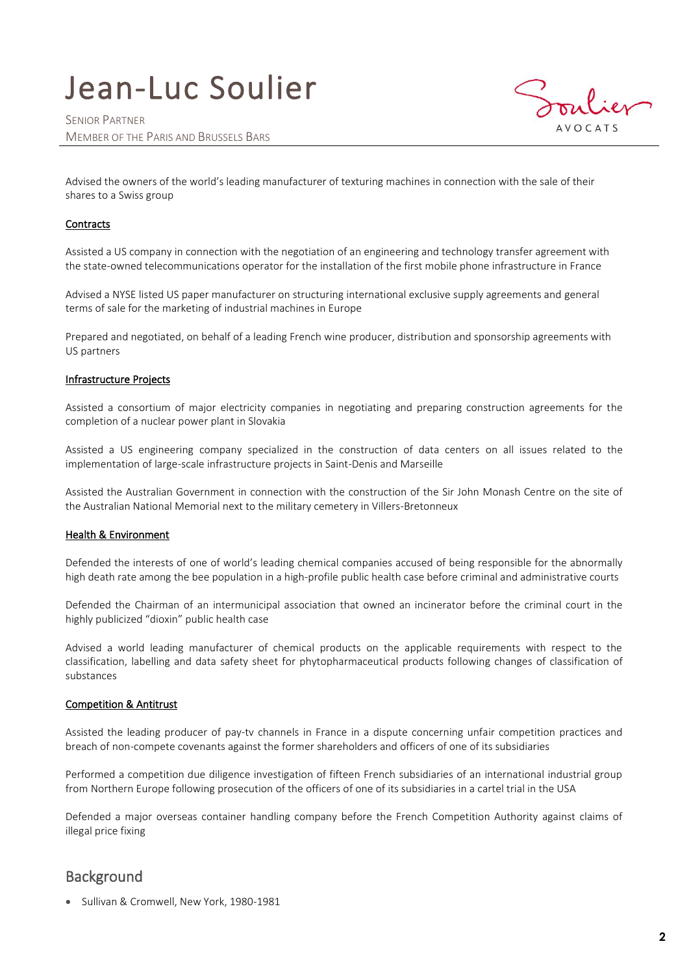# Jean-Luc Soulier



Advised the owners of the world's leading manufacturer of texturing machines in connection with the sale of their shares to a Swiss group

#### **Contracts**

Assisted a US company in connection with the negotiation of an engineering and technology transfer agreement with the state-owned telecommunications operator for the installation of the first mobile phone infrastructure in France

Advised a NYSE listed US paper manufacturer on structuring international exclusive supply agreements and general terms of sale for the marketing of industrial machines in Europe

Prepared and negotiated, on behalf of a leading French wine producer, distribution and sponsorship agreements with US partners

#### Infrastructure Projects

Assisted a consortium of major electricity companies in negotiating and preparing construction agreements for the completion of a nuclear power plant in Slovakia

Assisted a US engineering company specialized in the construction of data centers on all issues related to the implementation of large-scale infrastructure projects in Saint-Denis and Marseille

Assisted the Australian Government in connection with the construction of the Sir John Monash Centre on the site of the Australian National Memorial next to the military cemetery in Villers-Bretonneux

#### Health & Environment

Defended the interests of one of world's leading chemical companies accused of being responsible for the abnormally high death rate among the bee population in a high-profile public health case before criminal and administrative courts

Defended the Chairman of an intermunicipal association that owned an incinerator before the criminal court in the highly publicized "dioxin" public health case

Advised a world leading manufacturer of chemical products on the applicable requirements with respect to the classification, labelling and data safety sheet for phytopharmaceutical products following changes of classification of substances

#### Competition & Antitrust

Assisted the leading producer of pay-tv channels in France in a dispute concerning unfair competition practices and breach of non-compete covenants against the former shareholders and officers of one of its subsidiaries

Performed a competition due diligence investigation of fifteen French subsidiaries of an international industrial group from Northern Europe following prosecution of the officers of one of its subsidiaries in a cartel trial in the USA

Defended a major overseas container handling company before the French Competition Authority against claims of illegal price fixing

## **Background**

• Sullivan & Cromwell, New York, 1980-1981